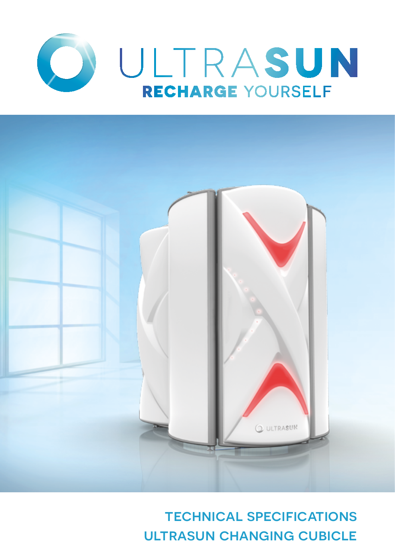



technical specifications ultrasun changing cubicle